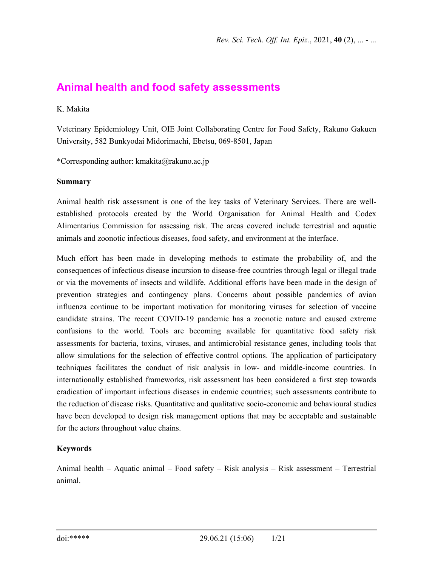# **Animal health and food safety assessments**

#### K. Makita

Veterinary Epidemiology Unit, OIE Joint Collaborating Centre for Food Safety, Rakuno Gakuen University, 582 Bunkyodai Midorimachi, Ebetsu, 069-8501, Japan

\*Corresponding author: kmakita@rakuno.ac.jp

#### **Summary**

Animal health risk assessment is one of the key tasks of Veterinary Services. There are wellestablished protocols created by the World Organisation for Animal Health and Codex Alimentarius Commission for assessing risk. The areas covered include terrestrial and aquatic animals and zoonotic infectious diseases, food safety, and environment at the interface.

Much effort has been made in developing methods to estimate the probability of, and the consequences of infectious disease incursion to disease-free countries through legal or illegal trade or via the movements of insects and wildlife. Additional efforts have been made in the design of prevention strategies and contingency plans. Concerns about possible pandemics of avian influenza continue to be important motivation for monitoring viruses for selection of vaccine candidate strains. The recent COVID-19 pandemic has a zoonotic nature and caused extreme confusions to the world. Tools are becoming available for quantitative food safety risk assessments for bacteria, toxins, viruses, and antimicrobial resistance genes, including tools that allow simulations for the selection of effective control options. The application of participatory techniques facilitates the conduct of risk analysis in low- and middle-income countries. In internationally established frameworks, risk assessment has been considered a first step towards eradication of important infectious diseases in endemic countries; such assessments contribute to the reduction of disease risks. Quantitative and qualitative socio-economic and behavioural studies have been developed to design risk management options that may be acceptable and sustainable for the actors throughout value chains.

#### **Keywords**

Animal health – Aquatic animal – Food safety – Risk analysis – Risk assessment – Terrestrial animal.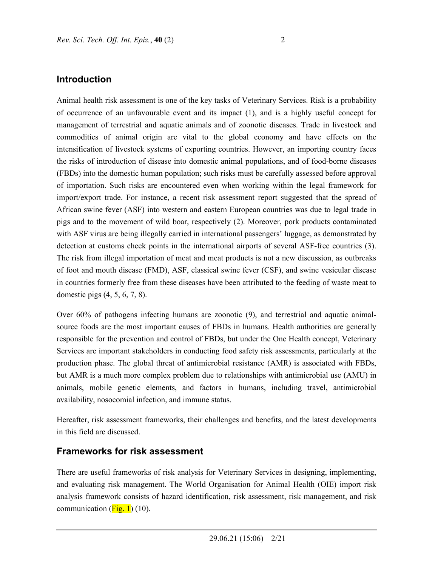#### **Introduction**

Animal health risk assessment is one of the key tasks of Veterinary Services. Risk is a probability of occurrence of an unfavourable event and its impact (1), and is a highly useful concept for management of terrestrial and aquatic animals and of zoonotic diseases. Trade in livestock and commodities of animal origin are vital to the global economy and have effects on the intensification of livestock systems of exporting countries. However, an importing country faces the risks of introduction of disease into domestic animal populations, and of food-borne diseases (FBDs) into the domestic human population; such risks must be carefully assessed before approval of importation. Such risks are encountered even when working within the legal framework for import/export trade. For instance, a recent risk assessment report suggested that the spread of African swine fever (ASF) into western and eastern European countries was due to legal trade in pigs and to the movement of wild boar, respectively (2). Moreover, pork products contaminated with ASF virus are being illegally carried in international passengers' luggage, as demonstrated by detection at customs check points in the international airports of several ASF-free countries (3). The risk from illegal importation of meat and meat products is not a new discussion, as outbreaks of foot and mouth disease (FMD), ASF, classical swine fever (CSF), and swine vesicular disease in countries formerly free from these diseases have been attributed to the feeding of waste meat to domestic pigs (4, 5, 6, 7, 8).

Over 60% of pathogens infecting humans are zoonotic (9), and terrestrial and aquatic animalsource foods are the most important causes of FBDs in humans. Health authorities are generally responsible for the prevention and control of FBDs, but under the One Health concept, Veterinary Services are important stakeholders in conducting food safety risk assessments, particularly at the production phase. The global threat of antimicrobial resistance (AMR) is associated with FBDs, but AMR is a much more complex problem due to relationships with antimicrobial use (AMU) in animals, mobile genetic elements, and factors in humans, including travel, antimicrobial availability, nosocomial infection, and immune status.

Hereafter, risk assessment frameworks, their challenges and benefits, and the latest developments in this field are discussed.

#### **Frameworks for risk assessment**

There are useful frameworks of risk analysis for Veterinary Services in designing, implementing, and evaluating risk management. The World Organisation for Animal Health (OIE) import risk analysis framework consists of hazard identification, risk assessment, risk management, and risk communication  $(Fig. 1)$  (10).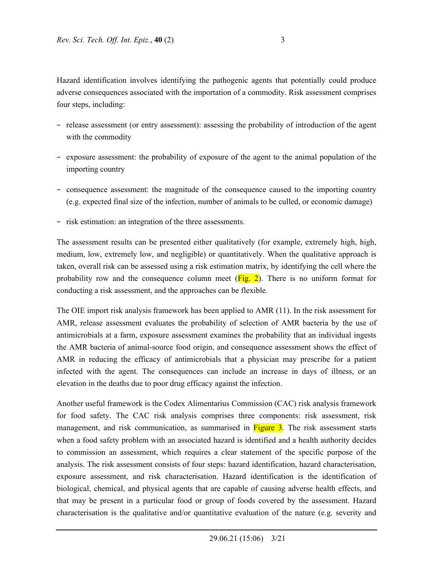Hazard identification involves identifying the pathogenic agents that potentially could produce adverse consequences associated with the importation of a commodity. Risk assessment comprises four steps, including:

- − release assessment (or entry assessment): assessing the probability of introduction of the agent with the commodity
- − exposure assessment: the probability of exposure of the agent to the animal population of the importing country
- − consequence assessment: the magnitude of the consequence caused to the importing country (e.g. expected final size of the infection, number of animals to be culled, or economic damage)
- − risk estimation: an integration of the three assessments.

The assessment results can be presented either qualitatively (for example, extremely high, high, medium, low, extremely low, and negligible) or quantitatively. When the qualitative approach is taken, overall risk can be assessed using a risk estimation matrix, by identifying the cell where the probability row and the consequence column meet  $(Fig, 2)$ . There is no uniform format for conducting a risk assessment, and the approaches can be flexible.

The OIE import risk analysis framework has been applied to AMR (11). In the risk assessment for AMR, release assessment evaluates the probability of selection of AMR bacteria by the use of antimicrobials at a farm, exposure assessment examines the probability that an individual ingests the AMR bacteria of animal-source food origin, and consequence assessment shows the effect of AMR in reducing the efficacy of antimicrobials that a physician may prescribe for a patient infected with the agent. The consequences can include an increase in days of illness, or an elevation in the deaths due to poor drug efficacy against the infection.

Another useful framework is the Codex Alimentarius Commission (CAC) risk analysis framework for food safety. The CAC risk analysis comprises three components: risk assessment, risk management, and risk communication, as summarised in **Figure 3**. The risk assessment starts when a food safety problem with an associated hazard is identified and a health authority decides to commission an assessment, which requires a clear statement of the specific purpose of the analysis. The risk assessment consists of four steps: hazard identification, hazard characterisation, exposure assessment, and risk characterisation. Hazard identification is the identification of biological, chemical, and physical agents that are capable of causing adverse health effects, and that may be present in a particular food or group of foods covered by the assessment. Hazard characterisation is the qualitative and/or quantitative evaluation of the nature (e.g. severity and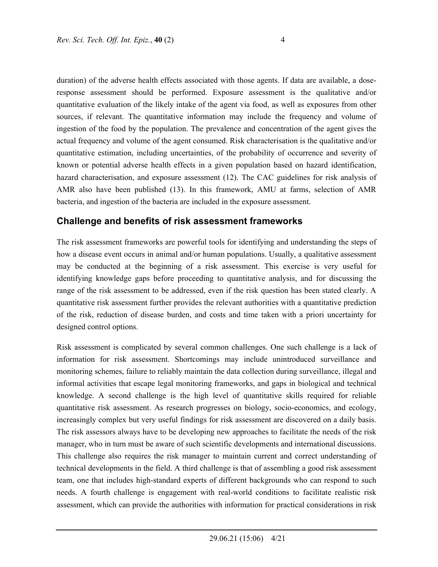duration) of the adverse health effects associated with those agents. If data are available, a doseresponse assessment should be performed. Exposure assessment is the qualitative and/or quantitative evaluation of the likely intake of the agent via food, as well as exposures from other sources, if relevant. The quantitative information may include the frequency and volume of ingestion of the food by the population. The prevalence and concentration of the agent gives the actual frequency and volume of the agent consumed. Risk characterisation is the qualitative and/or quantitative estimation, including uncertainties, of the probability of occurrence and severity of known or potential adverse health effects in a given population based on hazard identification, hazard characterisation, and exposure assessment (12). The CAC guidelines for risk analysis of AMR also have been published (13). In this framework, AMU at farms, selection of AMR bacteria, and ingestion of the bacteria are included in the exposure assessment.

## **Challenge and benefits of risk assessment frameworks**

The risk assessment frameworks are powerful tools for identifying and understanding the steps of how a disease event occurs in animal and/or human populations. Usually, a qualitative assessment may be conducted at the beginning of a risk assessment. This exercise is very useful for identifying knowledge gaps before proceeding to quantitative analysis, and for discussing the range of the risk assessment to be addressed, even if the risk question has been stated clearly. A quantitative risk assessment further provides the relevant authorities with a quantitative prediction of the risk, reduction of disease burden, and costs and time taken with a priori uncertainty for designed control options.

Risk assessment is complicated by several common challenges. One such challenge is a lack of information for risk assessment. Shortcomings may include unintroduced surveillance and monitoring schemes, failure to reliably maintain the data collection during surveillance, illegal and informal activities that escape legal monitoring frameworks, and gaps in biological and technical knowledge. A second challenge is the high level of quantitative skills required for reliable quantitative risk assessment. As research progresses on biology, socio-economics, and ecology, increasingly complex but very useful findings for risk assessment are discovered on a daily basis. The risk assessors always have to be developing new approaches to facilitate the needs of the risk manager, who in turn must be aware of such scientific developments and international discussions. This challenge also requires the risk manager to maintain current and correct understanding of technical developments in the field. A third challenge is that of assembling a good risk assessment team, one that includes high-standard experts of different backgrounds who can respond to such needs. A fourth challenge is engagement with real-world conditions to facilitate realistic risk assessment, which can provide the authorities with information for practical considerations in risk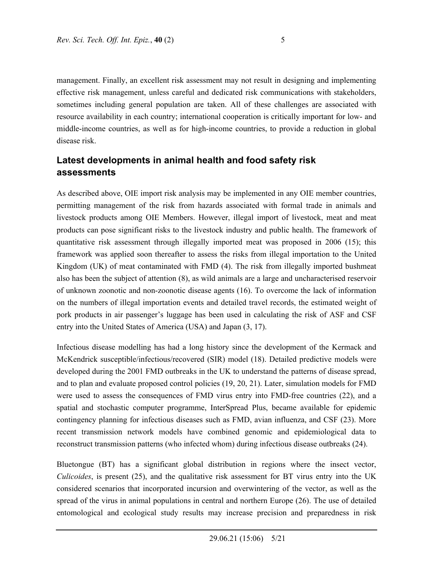management. Finally, an excellent risk assessment may not result in designing and implementing effective risk management, unless careful and dedicated risk communications with stakeholders, sometimes including general population are taken. All of these challenges are associated with resource availability in each country; international cooperation is critically important for low- and middle-income countries, as well as for high-income countries, to provide a reduction in global disease risk.

# **Latest developments in animal health and food safety risk assessments**

As described above, OIE import risk analysis may be implemented in any OIE member countries, permitting management of the risk from hazards associated with formal trade in animals and livestock products among OIE Members. However, illegal import of livestock, meat and meat products can pose significant risks to the livestock industry and public health. The framework of quantitative risk assessment through illegally imported meat was proposed in 2006 (15); this framework was applied soon thereafter to assess the risks from illegal importation to the United Kingdom (UK) of meat contaminated with FMD (4). The risk from illegally imported bushmeat also has been the subject of attention (8), as wild animals are a large and uncharacterised reservoir of unknown zoonotic and non-zoonotic disease agents (16). To overcome the lack of information on the numbers of illegal importation events and detailed travel records, the estimated weight of pork products in air passenger's luggage has been used in calculating the risk of ASF and CSF entry into the United States of America (USA) and Japan (3, 17).

Infectious disease modelling has had a long history since the development of the Kermack and McKendrick susceptible/infectious/recovered (SIR) model (18). Detailed predictive models were developed during the 2001 FMD outbreaks in the UK to understand the patterns of disease spread, and to plan and evaluate proposed control policies (19, 20, 21). Later, simulation models for FMD were used to assess the consequences of FMD virus entry into FMD-free countries (22), and a spatial and stochastic computer programme, InterSpread Plus, became available for epidemic contingency planning for infectious diseases such as FMD, avian influenza, and CSF (23). More recent transmission network models have combined genomic and epidemiological data to reconstruct transmission patterns (who infected whom) during infectious disease outbreaks (24).

Bluetongue (BT) has a significant global distribution in regions where the insect vector, *Culicoides*, is present (25), and the qualitative risk assessment for BT virus entry into the UK considered scenarios that incorporated incursion and overwintering of the vector, as well as the spread of the virus in animal populations in central and northern Europe (26). The use of detailed entomological and ecological study results may increase precision and preparedness in risk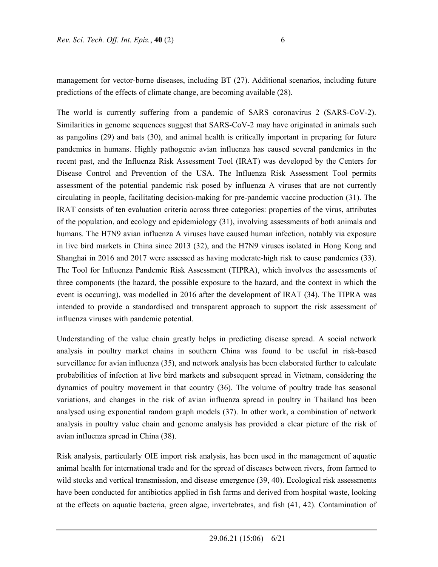management for vector-borne diseases, including BT (27). Additional scenarios, including future predictions of the effects of climate change, are becoming available (28).

The world is currently suffering from a pandemic of SARS coronavirus 2 (SARS-CoV-2). Similarities in genome sequences suggest that SARS-CoV-2 may have originated in animals such as pangolins (29) and bats (30), and animal health is critically important in preparing for future pandemics in humans. Highly pathogenic avian influenza has caused several pandemics in the recent past, and the Influenza Risk Assessment Tool (IRAT) was developed by the Centers for Disease Control and Prevention of the USA. The Influenza Risk Assessment Tool permits assessment of the potential pandemic risk posed by influenza A viruses that are not currently circulating in people, facilitating decision-making for pre-pandemic vaccine production (31). The IRAT consists of ten evaluation criteria across three categories: properties of the virus, attributes of the population, and ecology and epidemiology (31), involving assessments of both animals and humans. The H7N9 avian influenza A viruses have caused human infection, notably via exposure in live bird markets in China since 2013 (32), and the H7N9 viruses isolated in Hong Kong and Shanghai in 2016 and 2017 were assessed as having moderate-high risk to cause pandemics (33). The Tool for Influenza Pandemic Risk Assessment (TIPRA), which involves the assessments of three components (the hazard, the possible exposure to the hazard, and the context in which the event is occurring), was modelled in 2016 after the development of IRAT (34). The TIPRA was intended to provide a standardised and transparent approach to support the risk assessment of influenza viruses with pandemic potential.

Understanding of the value chain greatly helps in predicting disease spread. A social network analysis in poultry market chains in southern China was found to be useful in risk-based surveillance for avian influenza (35), and network analysis has been elaborated further to calculate probabilities of infection at live bird markets and subsequent spread in Vietnam, considering the dynamics of poultry movement in that country (36). The volume of poultry trade has seasonal variations, and changes in the risk of avian influenza spread in poultry in Thailand has been analysed using exponential random graph models (37). In other work, a combination of network analysis in poultry value chain and genome analysis has provided a clear picture of the risk of avian influenza spread in China (38).

Risk analysis, particularly OIE import risk analysis, has been used in the management of aquatic animal health for international trade and for the spread of diseases between rivers, from farmed to wild stocks and vertical transmission, and disease emergence (39, 40). Ecological risk assessments have been conducted for antibiotics applied in fish farms and derived from hospital waste, looking at the effects on aquatic bacteria, green algae, invertebrates, and fish (41, 42). Contamination of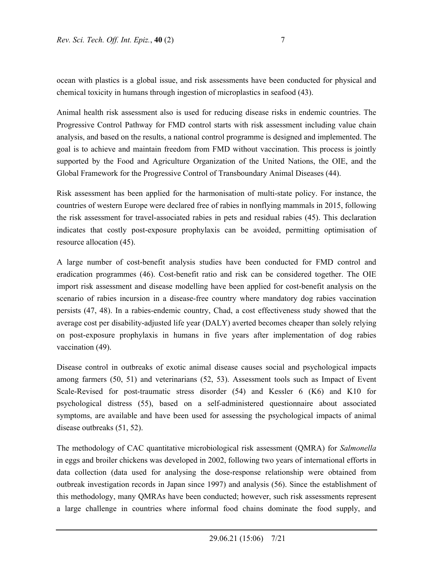ocean with plastics is a global issue, and risk assessments have been conducted for physical and chemical toxicity in humans through ingestion of microplastics in seafood (43).

Animal health risk assessment also is used for reducing disease risks in endemic countries. The Progressive Control Pathway for FMD control starts with risk assessment including value chain analysis, and based on the results, a national control programme is designed and implemented. The goal is to achieve and maintain freedom from FMD without vaccination. This process is jointly supported by the Food and Agriculture Organization of the United Nations, the OIE, and the Global Framework for the Progressive Control of Transboundary Animal Diseases (44).

Risk assessment has been applied for the harmonisation of multi-state policy. For instance, the countries of western Europe were declared free of rabies in nonflying mammals in 2015, following the risk assessment for travel-associated rabies in pets and residual rabies (45). This declaration indicates that costly post-exposure prophylaxis can be avoided, permitting optimisation of resource allocation (45).

A large number of cost-benefit analysis studies have been conducted for FMD control and eradication programmes (46). Cost-benefit ratio and risk can be considered together. The OIE import risk assessment and disease modelling have been applied for cost-benefit analysis on the scenario of rabies incursion in a disease-free country where mandatory dog rabies vaccination persists (47, 48). In a rabies-endemic country, Chad, a cost effectiveness study showed that the average cost per disability-adjusted life year (DALY) averted becomes cheaper than solely relying on post-exposure prophylaxis in humans in five years after implementation of dog rabies vaccination (49).

Disease control in outbreaks of exotic animal disease causes social and psychological impacts among farmers (50, 51) and veterinarians (52, 53). Assessment tools such as Impact of Event Scale-Revised for post-traumatic stress disorder (54) and Kessler 6 (K6) and K10 for psychological distress (55), based on a self-administered questionnaire about associated symptoms, are available and have been used for assessing the psychological impacts of animal disease outbreaks (51, 52).

The methodology of CAC quantitative microbiological risk assessment (QMRA) for *Salmonella* in eggs and broiler chickens was developed in 2002, following two years of international efforts in data collection (data used for analysing the dose-response relationship were obtained from outbreak investigation records in Japan since 1997) and analysis (56). Since the establishment of this methodology, many QMRAs have been conducted; however, such risk assessments represent a large challenge in countries where informal food chains dominate the food supply, and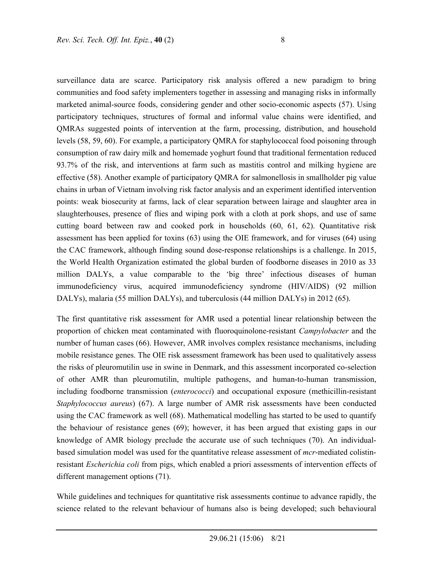surveillance data are scarce. Participatory risk analysis offered a new paradigm to bring communities and food safety implementers together in assessing and managing risks in informally marketed animal-source foods, considering gender and other socio-economic aspects (57). Using participatory techniques, structures of formal and informal value chains were identified, and QMRAs suggested points of intervention at the farm, processing, distribution, and household levels (58, 59, 60). For example, a participatory QMRA for staphylococcal food poisoning through consumption of raw dairy milk and homemade yoghurt found that traditional fermentation reduced 93.7% of the risk, and interventions at farm such as mastitis control and milking hygiene are effective (58). Another example of participatory QMRA for salmonellosis in smallholder pig value chains in urban of Vietnam involving risk factor analysis and an experiment identified intervention points: weak biosecurity at farms, lack of clear separation between lairage and slaughter area in slaughterhouses, presence of flies and wiping pork with a cloth at pork shops, and use of same cutting board between raw and cooked pork in households (60, 61, 62). Quantitative risk assessment has been applied for toxins (63) using the OIE framework, and for viruses (64) using the CAC framework, although finding sound dose-response relationships is a challenge. In 2015, the World Health Organization estimated the global burden of foodborne diseases in 2010 as 33 million DALYs, a value comparable to the 'big three' infectious diseases of human immunodeficiency virus, acquired immunodeficiency syndrome (HIV/AIDS) (92 million DALYs), malaria (55 million DALYs), and tuberculosis (44 million DALYs) in 2012 (65).

The first quantitative risk assessment for AMR used a potential linear relationship between the proportion of chicken meat contaminated with fluoroquinolone-resistant *Campylobacter* and the number of human cases (66). However, AMR involves complex resistance mechanisms, including mobile resistance genes. The OIE risk assessment framework has been used to qualitatively assess the risks of pleuromutilin use in swine in Denmark, and this assessment incorporated co-selection of other AMR than pleuromutilin, multiple pathogens, and human-to-human transmission, including foodborne transmission (*enterococci*) and occupational exposure (methicillin-resistant *Staphylococcus aureus*) (67). A large number of AMR risk assessments have been conducted using the CAC framework as well (68). Mathematical modelling has started to be used to quantify the behaviour of resistance genes (69); however, it has been argued that existing gaps in our knowledge of AMR biology preclude the accurate use of such techniques (70). An individualbased simulation model was used for the quantitative release assessment of *mcr*-mediated colistinresistant *Escherichia coli* from pigs, which enabled a priori assessments of intervention effects of different management options (71).

While guidelines and techniques for quantitative risk assessments continue to advance rapidly, the science related to the relevant behaviour of humans also is being developed; such behavioural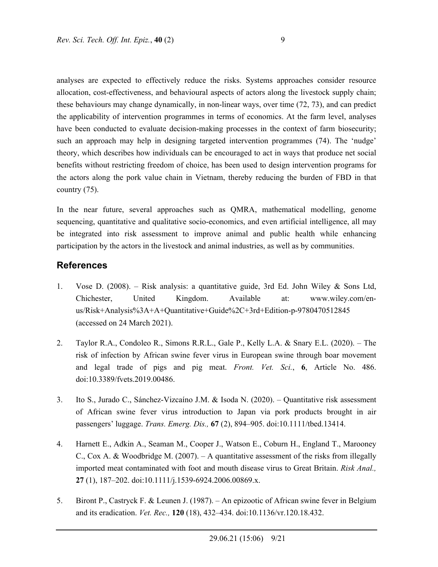analyses are expected to effectively reduce the risks. Systems approaches consider resource allocation, cost-effectiveness, and behavioural aspects of actors along the livestock supply chain; these behaviours may change dynamically, in non-linear ways, over time (72, 73), and can predict the applicability of intervention programmes in terms of economics. At the farm level, analyses have been conducted to evaluate decision-making processes in the context of farm biosecurity; such an approach may help in designing targeted intervention programmes (74). The 'nudge' theory, which describes how individuals can be encouraged to act in ways that produce net social benefits without restricting freedom of choice, has been used to design intervention programs for the actors along the pork value chain in Vietnam, thereby reducing the burden of FBD in that country (75).

In the near future, several approaches such as QMRA, mathematical modelling, genome sequencing, quantitative and qualitative socio-economics, and even artificial intelligence, all may be integrated into risk assessment to improve animal and public health while enhancing participation by the actors in the livestock and animal industries, as well as by communities.

#### **References**

- 1. Vose D. (2008). Risk analysis: a quantitative guide, 3rd Ed. John Wiley & Sons Ltd, Chichester, United Kingdom. Available at: www.wiley.com/enus/Risk+Analysis%3A+A+Quantitative+Guide%2C+3rd+Edition-p-9780470512845 (accessed on 24 March 2021).
- 2. Taylor R.A., Condoleo R., Simons R.R.L., Gale P., Kelly L.A. & Snary E.L. (2020). The risk of infection by African swine fever virus in European swine through boar movement and legal trade of pigs and pig meat. *Front. Vet. Sci.*, **6**, Article No. 486. doi:10.3389/fvets.2019.00486.
- 3. Ito S., Jurado C., Sánchez-Vizcaíno J.M. & Isoda N. (2020). Quantitative risk assessment of African swine fever virus introduction to Japan via pork products brought in air passengers' luggage. *Trans. Emerg. Dis.,* **67** (2), 894–905. doi:10.1111/tbed.13414.
- 4. Harnett E., Adkin A., Seaman M., Cooper J., Watson E., Coburn H., England T., Marooney C., Cox A. & Woodbridge M. (2007). – A quantitative assessment of the risks from illegally imported meat contaminated with foot and mouth disease virus to Great Britain. *Risk Anal.,*  **27** (1), 187–202. doi:10.1111/j.1539-6924.2006.00869.x.
- 5. Biront P., Castryck F. & Leunen J. (1987). An epizootic of African swine fever in Belgium and its eradication. *Vet. Rec.,* **120** (18), 432–434. doi:10.1136/vr.120.18.432.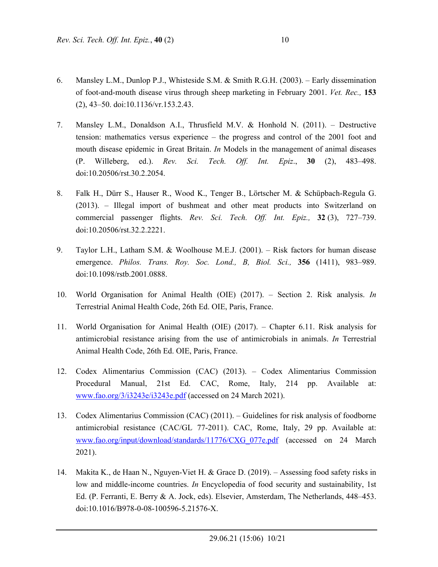- 6. Mansley L.M., Dunlop P.J., Whisteside S.M. & Smith R.G.H. (2003). Early dissemination of foot-and-mouth disease virus through sheep marketing in February 2001. *Vet. Rec.,* **153** (2), 43–50. doi:10.1136/vr.153.2.43.
- 7. Mansley L.M., Donaldson A.I., Thrusfield M.V. & Honhold N. (2011). Destructive tension: mathematics versus experience – the progress and control of the 2001 foot and mouth disease epidemic in Great Britain. *In* Models in the management of animal diseases (P. Willeberg, ed.). *Rev. Sci. Tech. Off. Int. Epiz*., **30** (2), 483–498. doi:10.20506/rst.30.2.2054.
- 8. Falk H., Dürr S., Hauser R., Wood K., Tenger B., Lörtscher M. & Schüpbach-Regula G. (2013). – Illegal import of bushmeat and other meat products into Switzerland on commercial passenger flights. *Rev. Sci. Tech. Off. Int. Epiz.,* **32** (3), 727–739. doi:10.20506/rst.32.2.2221.
- 9. Taylor L.H., Latham S.M. & Woolhouse M.E.J. (2001). Risk factors for human disease emergence. *Philos. Trans. Roy. Soc. Lond., B, Biol. Sci.,* **356** (1411), 983–989. doi:10.1098/rstb.2001.0888.
- 10. World Organisation for Animal Health (OIE) (2017). Section 2. Risk analysis. *In* Terrestrial Animal Health Code, 26th Ed. OIE, Paris, France.
- 11. World Organisation for Animal Health (OIE) (2017). Chapter 6.11. Risk analysis for antimicrobial resistance arising from the use of antimicrobials in animals. *In* Terrestrial Animal Health Code, 26th Ed. OIE, Paris, France.
- 12. Codex Alimentarius Commission (CAC) (2013). Codex Alimentarius Commission Procedural Manual, 21st Ed. CAC, Rome, Italy, 214 pp. Available at: www.fao.org/3/i3243e/i3243e.pdf (accessed on 24 March 2021).
- 13. Codex Alimentarius Commission (CAC) (2011). Guidelines for risk analysis of foodborne antimicrobial resistance (CAC/GL 77-2011). CAC, Rome, Italy, 29 pp. Available at: www.fao.org/input/download/standards/11776/CXG\_077e.pdf (accessed on 24 March 2021).
- 14. Makita K., de Haan N., Nguyen-Viet H. & Grace D. (2019). Assessing food safety risks in low and middle-income countries. *In* Encyclopedia of food security and sustainability, 1st Ed. (P. Ferranti, E. Berry & A. Jock, eds). Elsevier, Amsterdam, The Netherlands, 448–453. doi:10.1016/B978-0-08-100596-5.21576-X.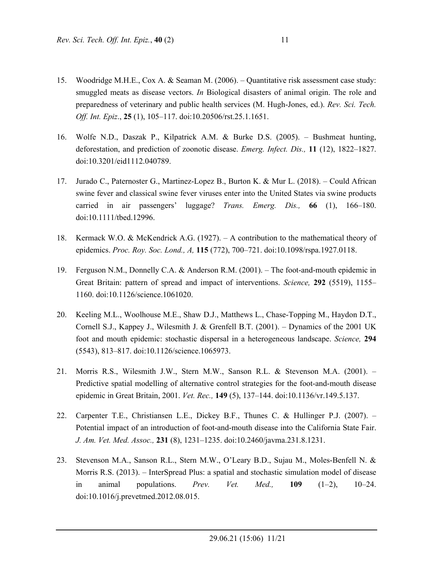- 15. Woodridge M.H.E., Cox A. & Seaman M. (2006). Quantitative risk assessment case study: smuggled meats as disease vectors. *In* Biological disasters of animal origin. The role and preparedness of veterinary and public health services (M. Hugh-Jones, ed.). *Rev. Sci. Tech. Off. Int. Epiz*., **25** (1), 105–117. doi:10.20506/rst.25.1.1651.
- 16. Wolfe N.D., Daszak P., Kilpatrick A.M. & Burke D.S. (2005). Bushmeat hunting, deforestation, and prediction of zoonotic disease. *Emerg. Infect. Dis.,* **11** (12), 1822–1827. doi:10.3201/eid1112.040789.
- 17. Jurado C., Paternoster G., Martinez-Lopez B., Burton K. & Mur L. (2018). Could African swine fever and classical swine fever viruses enter into the United States via swine products carried in air passengers' luggage? *Trans. Emerg. Dis.,* **66** (1), 166–180. doi:10.1111/tbed.12996.
- 18. Kermack W.O. & McKendrick A.G. (1927). A contribution to the mathematical theory of epidemics. *Proc. Roy. Soc. Lond., A,* **115** (772), 700–721. doi:10.1098/rspa.1927.0118.
- 19. Ferguson N.M., Donnelly C.A. & Anderson R.M. (2001). The foot-and-mouth epidemic in Great Britain: pattern of spread and impact of interventions. *Science,* **292** (5519), 1155– 1160. doi:10.1126/science.1061020.
- 20. Keeling M.L., Woolhouse M.E., Shaw D.J., Matthews L., Chase-Topping M., Haydon D.T., Cornell S.J., Kappey J., Wilesmith J. & Grenfell B.T. (2001). – Dynamics of the 2001 UK foot and mouth epidemic: stochastic dispersal in a heterogeneous landscape. *Science,* **294** (5543), 813–817. doi:10.1126/science.1065973.
- 21. Morris R.S., Wilesmith J.W., Stern M.W., Sanson R.L. & Stevenson M.A. (2001). Predictive spatial modelling of alternative control strategies for the foot-and-mouth disease epidemic in Great Britain, 2001. *Vet. Rec.,* **149** (5), 137–144. doi:10.1136/vr.149.5.137.
- 22. Carpenter T.E., Christiansen L.E., Dickey B.F., Thunes C. & Hullinger P.J. (2007). Potential impact of an introduction of foot-and-mouth disease into the California State Fair. *J. Am. Vet. Med. Assoc.,* **231** (8), 1231–1235. doi:10.2460/javma.231.8.1231.
- 23. Stevenson M.A., Sanson R.L., Stern M.W., O'Leary B.D., Sujau M., Moles-Benfell N. & Morris R.S. (2013). – InterSpread Plus: a spatial and stochastic simulation model of disease in animal populations. *Prev. Vet. Med.,* **109** (1–2), 10–24. doi:10.1016/j.prevetmed.2012.08.015.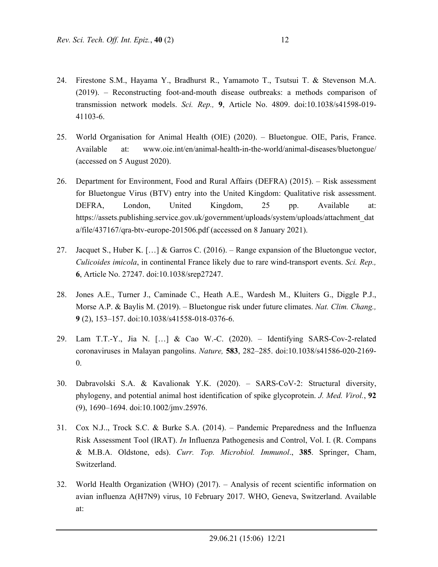- 24. Firestone S.M., Hayama Y., Bradhurst R., Yamamoto T., Tsutsui T. & Stevenson M.A. (2019). – Reconstructing foot-and-mouth disease outbreaks: a methods comparison of transmission network models. *Sci. Rep.,* **9**, Article No. 4809. doi:10.1038/s41598-019- 41103-6.
- 25. World Organisation for Animal Health (OIE) (2020). Bluetongue. OIE, Paris, France. Available at: www.oie.int/en/animal-health-in-the-world/animal-diseases/bluetongue/ (accessed on 5 August 2020).
- 26. Department for Environment, Food and Rural Affairs (DEFRA) (2015). Risk assessment for Bluetongue Virus (BTV) entry into the United Kingdom: Qualitative risk assessment. DEFRA, London, United Kingdom, 25 pp. Available at: https://assets.publishing.service.gov.uk/government/uploads/system/uploads/attachment\_dat a/file/437167/qra-btv-europe-201506.pdf (accessed on 8 January 2021).
- 27. Jacquet S., Huber K. […] & Garros C. (2016). Range expansion of the Bluetongue vector, *Culicoides imicola*, in continental France likely due to rare wind-transport events. *Sci. Rep.,*  **6**, Article No. 27247. doi:10.1038/srep27247.
- 28. Jones A.E., Turner J., Caminade C., Heath A.E., Wardesh M., Kluiters G., Diggle P.J., Morse A.P. & Baylis M. (2019). – Bluetongue risk under future climates. *Nat. Clim. Chang.,*  **9** (2), 153–157. doi:10.1038/s41558-018-0376-6.
- 29. Lam T.T.-Y., Jia N. […] & Cao W.-C. (2020). Identifying SARS-Cov-2-related coronaviruses in Malayan pangolins. *Nature,* **583**, 282–285. doi:10.1038/s41586-020-2169- 0.
- 30. Dabravolski S.A. & Kavalionak Y.K. (2020). SARS-CoV-2: Structural diversity, phylogeny, and potential animal host identification of spike glycoprotein. *J. Med. Virol.*, **92** (9), 1690–1694. doi:10.1002/jmv.25976.
- 31. Cox N.J.., Trock S.C. & Burke S.A. (2014). Pandemic Preparedness and the Influenza Risk Assessment Tool (IRAT). *In* Influenza Pathogenesis and Control, Vol. I. (R. Compans & M.B.A. Oldstone, eds). *Curr. Top. Microbiol. Immunol*., **385**. Springer, Cham, Switzerland.
- 32. World Health Organization (WHO) (2017). Analysis of recent scientific information on avian influenza A(H7N9) virus, 10 February 2017. WHO, Geneva, Switzerland. Available at: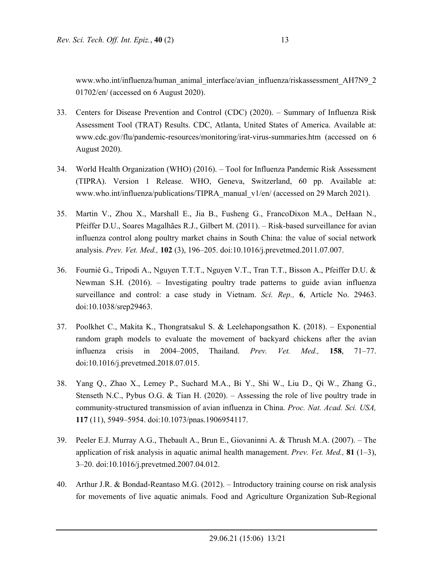www.who.int/influenza/human\_animal\_interface/avian\_influenza/riskassessment\_AH7N9\_2 01702/en/ (accessed on 6 August 2020).

- 33. Centers for Disease Prevention and Control (CDC) (2020). Summary of Influenza Risk Assessment Tool (TRAT) Results. CDC, Atlanta, United States of America. Available at: www.cdc.gov/flu/pandemic-resources/monitoring/irat-virus-summaries.htm (accessed on 6 August 2020).
- 34. World Health Organization (WHO) (2016). Tool for Influenza Pandemic Risk Assessment (TIPRA). Version 1 Release. WHO, Geneva, Switzerland, 60 pp. Available at: www.who.int/influenza/publications/TIPRA\_manual\_v1/en/ (accessed on 29 March 2021).
- 35. Martin V., Zhou X., Marshall E., Jia B., Fusheng G., FrancoDixon M.A., DeHaan N., Pfeiffer D.U., Soares Magalhães R.J., Gilbert M. (2011). – Risk-based surveillance for avian influenza control along poultry market chains in South China: the value of social network analysis. *Prev. Vet. Med.,* **102** (3), 196–205. doi:10.1016/j.prevetmed.2011.07.007.
- 36. Fournié G., Tripodi A., Nguyen T.T.T., Nguyen V.T., Tran T.T., Bisson A., Pfeiffer D.U. & Newman S.H. (2016). – Investigating poultry trade patterns to guide avian influenza surveillance and control: a case study in Vietnam. *Sci. Rep.,* **6**, Article No. 29463. doi:10.1038/srep29463.
- 37. Poolkhet C., Makita K., Thongratsakul S. & Leelehapongsathon K. (2018). Exponential random graph models to evaluate the movement of backyard chickens after the avian influenza crisis in 2004–2005, Thailand. *Prev. Vet. Med.,* **158**, 71–77. doi:10.1016/j.prevetmed.2018.07.015.
- 38. Yang Q., Zhao X., Lemey P., Suchard M.A., Bi Y., Shi W., Liu D., Qi W., Zhang G., Stenseth N.C., Pybus O.G. & Tian H. (2020). – Assessing the role of live poultry trade in community-structured transmission of avian influenza in China. *Proc. Nat. Acad. Sci. USA,*  **117** (11), 5949–5954. doi:10.1073/pnas.1906954117.
- 39. Peeler E.J. Murray A.G., Thebault A., Brun E., Giovaninni A. & Thrush M.A. (2007). The application of risk analysis in aquatic animal health management. *Prev. Vet. Med.,* **81** (1–3), 3–20. doi:10.1016/j.prevetmed.2007.04.012.
- 40. Arthur J.R. & Bondad-Reantaso M.G. (2012). Introductory training course on risk analysis for movements of live aquatic animals. Food and Agriculture Organization Sub-Regional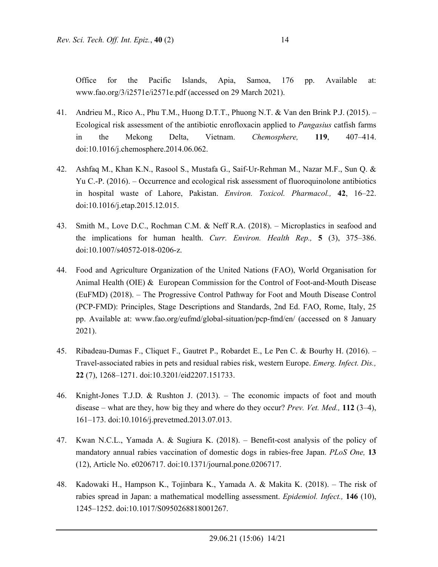Office for the Pacific Islands, Apia, Samoa, 176 pp. Available at: www.fao.org/3/i2571e/i2571e.pdf (accessed on 29 March 2021).

- 41. Andrieu M., Rico A., Phu T.M., Huong D.T.T., Phuong N.T. & Van den Brink P.J. (2015). Ecological risk assessment of the antibiotic enrofloxacin applied to *Pangasius* catfish farms in the Mekong Delta, Vietnam. *Chemosphere,* **119**, 407–414. doi:10.1016/j.chemosphere.2014.06.062.
- 42. Ashfaq M., Khan K.N., Rasool S., Mustafa G., Saif-Ur-Rehman M., Nazar M.F., Sun Q. & Yu C.-P. (2016). – Occurrence and ecological risk assessment of fluoroquinolone antibiotics in hospital waste of Lahore, Pakistan. *Environ. Toxicol. Pharmacol.,* **42**, 16–22. doi:10.1016/j.etap.2015.12.015.
- 43. Smith M., Love D.C., Rochman C.M. & Neff R.A. (2018). Microplastics in seafood and the implications for human health. *Curr. Environ. Health Rep.,* **5** (3), 375–386. doi:10.1007/s40572-018-0206-z.
- 44. Food and Agriculture Organization of the United Nations (FAO), World Organisation for Animal Health (OIE) & European Commission for the Control of Foot-and-Mouth Disease (EuFMD) (2018). – The Progressive Control Pathway for Foot and Mouth Disease Control (PCP-FMD): Principles, Stage Descriptions and Standards, 2nd Ed. FAO, Rome, Italy, 25 pp. Available at: www.fao.org/eufmd/global-situation/pcp-fmd/en/ (accessed on 8 January 2021).
- 45. Ribadeau-Dumas F., Cliquet F., Gautret P., Robardet E., Le Pen C. & Bourhy H. (2016). Travel-associated rabies in pets and residual rabies risk, western Europe. *Emerg. Infect. Dis.,*  **22** (7), 1268–1271. doi:10.3201/eid2207.151733.
- 46. Knight-Jones T.J.D. & Rushton J. (2013). The economic impacts of foot and mouth disease – what are they, how big they and where do they occur? *Prev. Vet. Med.,* **112** (3–4), 161–173. doi:10.1016/j.prevetmed.2013.07.013.
- 47. Kwan N.C.L., Yamada A. & Sugiura K. (2018). Benefit-cost analysis of the policy of mandatory annual rabies vaccination of domestic dogs in rabies-free Japan. *PLoS One,* **13** (12), Article No. e0206717. doi:10.1371/journal.pone.0206717.
- 48. Kadowaki H., Hampson K., Tojinbara K., Yamada A. & Makita K. (2018). The risk of rabies spread in Japan: a mathematical modelling assessment. *Epidemiol. Infect.,* **146** (10), 1245–1252. doi:10.1017/S0950268818001267.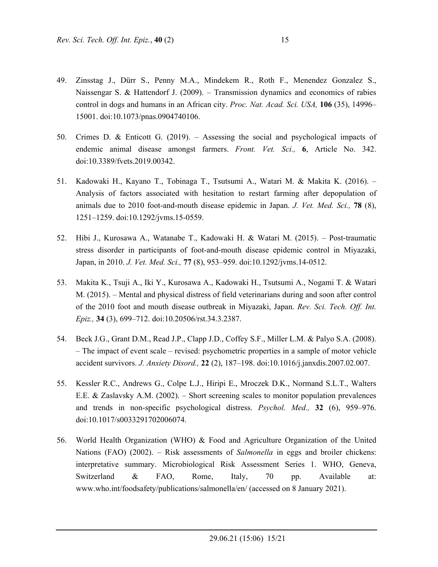- 49. Zinsstag J., Dürr S., Penny M.A., Mindekem R., Roth F., Menendez Gonzalez S., Naissengar S. & Hattendorf J. (2009). – Transmission dynamics and economics of rabies control in dogs and humans in an African city. *Proc. Nat. Acad. Sci. USA,* **106** (35), 14996– 15001. doi:10.1073/pnas.0904740106.
- 50. Crimes D. & Enticott G. (2019). Assessing the social and psychological impacts of endemic animal disease amongst farmers. *Front. Vet. Sci.,* **6**, Article No. 342. doi:10.3389/fvets.2019.00342.
- 51. Kadowaki H., Kayano T., Tobinaga T., Tsutsumi A., Watari M. & Makita K. (2016). Analysis of factors associated with hesitation to restart farming after depopulation of animals due to 2010 foot-and-mouth disease epidemic in Japan. *J. Vet. Med. Sci.,* **78** (8), 1251–1259. doi:10.1292/jvms.15-0559.
- 52. Hibi J., Kurosawa A., Watanabe T., Kadowaki H. & Watari M. (2015). Post-traumatic stress disorder in participants of foot-and-mouth disease epidemic control in Miyazaki, Japan, in 2010. *J. Vet. Med. Sci.,* **77** (8), 953–959. doi:10.1292/jvms.14-0512.
- 53. Makita K., Tsuji A., Iki Y., Kurosawa A., Kadowaki H., Tsutsumi A., Nogami T. & Watari M. (2015). – Mental and physical distress of field veterinarians during and soon after control of the 2010 foot and mouth disease outbreak in Miyazaki, Japan. *Rev. Sci. Tech. Off. Int. Epiz.,* **34** (3), 699–712. doi:10.20506/rst.34.3.2387.
- 54. Beck J.G., Grant D.M., Read J.P., Clapp J.D., Coffey S.F., Miller L.M. & Palyo S.A. (2008). – The impact of event scale – revised: psychometric properties in a sample of motor vehicle accident survivors. *J. Anxiety Disord.,* **22** (2), 187–198. doi:10.1016/j.janxdis.2007.02.007.
- 55. Kessler R.C., Andrews G., Colpe L.J., Hiripi E., Mroczek D.K., Normand S.L.T., Walters E.E. & Zaslavsky A.M. (2002). – Short screening scales to monitor population prevalences and trends in non-specific psychological distress. *Psychol. Med.,* **32** (6), 959–976. doi:10.1017/s0033291702006074.
- 56. World Health Organization (WHO) & Food and Agriculture Organization of the United Nations (FAO) (2002). – Risk assessments of *Salmonella* in eggs and broiler chickens: interpretative summary. Microbiological Risk Assessment Series 1. WHO, Geneva, Switzerland & FAO, Rome, Italy, 70 pp. Available at: www.who.int/foodsafety/publications/salmonella/en/ (accessed on 8 January 2021).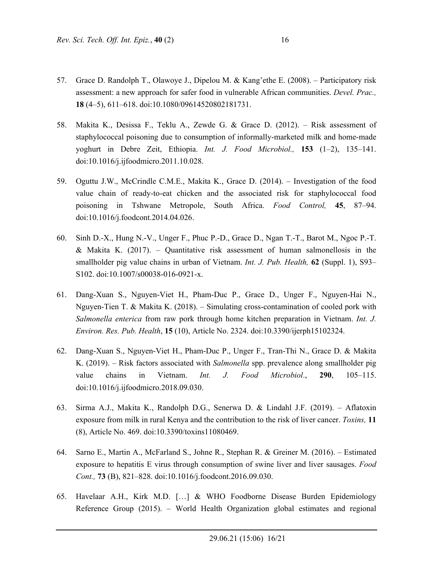- 57. Grace D. Randolph T., Olawoye J., Dipelou M. & Kang'ethe E. (2008). Participatory risk assessment: a new approach for safer food in vulnerable African communities. *Devel. Prac.,*  **18** (4–5), 611–618. doi:10.1080/09614520802181731.
- 58. Makita K., Desissa F., Teklu A., Zewde G. & Grace D. (2012). Risk assessment of staphylococcal poisoning due to consumption of informally-marketed milk and home-made yoghurt in Debre Zeit, Ethiopia. *Int. J. Food Microbiol.,* **153** (1–2), 135–141. doi:10.1016/j.ijfoodmicro.2011.10.028.
- 59. Oguttu J.W., McCrindle C.M.E., Makita K., Grace D. (2014). Investigation of the food value chain of ready-to-eat chicken and the associated risk for staphylococcal food poisoning in Tshwane Metropole, South Africa. *Food Control,* **45**, 87–94. doi:10.1016/j.foodcont.2014.04.026.
- 60. Sinh D.-X., Hung N.-V., Unger F., Phuc P.-D., Grace D., Ngan T.-T., Barot M., Ngoc P.-T. & Makita K.  $(2017)$ . – Quantitative risk assessment of human salmonellosis in the smallholder pig value chains in urban of Vietnam. *Int. J. Pub. Health,* **62** (Suppl. 1), S93– S102. doi:10.1007/s00038-016-0921-x.
- 61. Dang-Xuan S., Nguyen-Viet H., Pham-Duc P., Grace D., Unger F., Nguyen-Hai N., Nguyen-Tien T. & Makita K. (2018). – Simulating cross-contamination of cooled pork with *Salmonella enterica* from raw pork through home kitchen preparation in Vietnam. *Int. J. Environ. Res. Pub. Health*, **15** (10), Article No. 2324. doi:10.3390/ijerph15102324.
- 62. Dang-Xuan S., Nguyen-Viet H., Pham-Duc P., Unger F., Tran-Thi N., Grace D. & Makita K. (2019). – Risk factors associated with *Salmonella* spp. prevalence along smallholder pig value chains in Vietnam. *Int. J. Food Microbiol*., **290**, 105–115. doi:10.1016/j.ijfoodmicro.2018.09.030.
- 63. Sirma A.J., Makita K., Randolph D.G., Senerwa D. & Lindahl J.F. (2019). Aflatoxin exposure from milk in rural Kenya and the contribution to the risk of liver cancer. *Toxins,* **11** (8), Article No. 469. doi:10.3390/toxins11080469.
- 64. Sarno E., Martin A., McFarland S., Johne R., Stephan R. & Greiner M. (2016). Estimated exposure to hepatitis E virus through consumption of swine liver and liver sausages. *Food Cont.,* **73** (B), 821–828. doi:10.1016/j.foodcont.2016.09.030.
- 65. Havelaar A.H., Kirk M.D. […] & WHO Foodborne Disease Burden Epidemiology Reference Group (2015). – World Health Organization global estimates and regional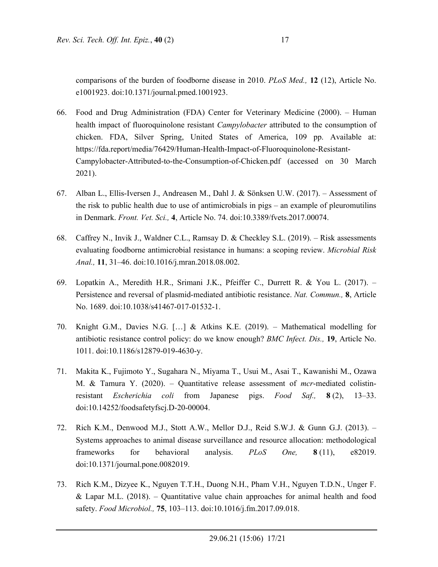comparisons of the burden of foodborne disease in 2010. *PLoS Med.,* **12** (12), Article No. e1001923. doi:10.1371/journal.pmed.1001923.

- 66. Food and Drug Administration (FDA) Center for Veterinary Medicine (2000). Human health impact of fluoroquinolone resistant *Campylobacter* attributed to the consumption of chicken. FDA, Silver Spring, United States of America, 109 pp. Available at: https://fda.report/media/76429/Human-Health-Impact-of-Fluoroquinolone-Resistant-Campylobacter-Attributed-to-the-Consumption-of-Chicken.pdf (accessed on 30 March 2021).
- 67. Alban L., Ellis-Iversen J., Andreasen M., Dahl J. & Sönksen U.W. (2017). Assessment of the risk to public health due to use of antimicrobials in pigs – an example of pleuromutilins in Denmark. *Front. Vet. Sci.,* **4**, Article No. 74. doi:10.3389/fvets.2017.00074.
- 68. Caffrey N., Invik J., Waldner C.L., Ramsay D. & Checkley S.L. (2019). Risk assessments evaluating foodborne antimicrobial resistance in humans: a scoping review. *Microbial Risk Anal.,* **11**, 31–46. doi:10.1016/j.mran.2018.08.002.
- 69. Lopatkin A., Meredith H.R., Srimani J.K., Pfeiffer C., Durrett R. & You L. (2017). Persistence and reversal of plasmid-mediated antibiotic resistance. *Nat. Commun.,* **8**, Article No. 1689. doi:10.1038/s41467-017-01532-1.
- 70. Knight G.M., Davies N.G. […] & Atkins K.E. (2019). Mathematical modelling for antibiotic resistance control policy: do we know enough? *BMC Infect. Dis.,* **19**, Article No. 1011. doi:10.1186/s12879-019-4630-y.
- 71. Makita K., Fujimoto Y., Sugahara N., Miyama T., Usui M., Asai T., Kawanishi M., Ozawa M. & Tamura Y. (2020). – Quantitative release assessment of *mcr*-mediated colistinresistant *Escherichia coli* from Japanese pigs. *Food Saf.,* **8** (2), 13–33. doi:10.14252/foodsafetyfscj.D-20-00004.
- 72. Rich K.M., Denwood M.J., Stott A.W., Mellor D.J., Reid S.W.J. & Gunn G.J. (2013). Systems approaches to animal disease surveillance and resource allocation: methodological frameworks for behavioral analysis. *PLoS One,* **8** (11), e82019. doi:10.1371/journal.pone.0082019.
- 73. Rich K.M., Dizyee K., Nguyen T.T.H., Duong N.H., Pham V.H., Nguyen T.D.N., Unger F. & Lapar M.L.  $(2018)$ . – Quantitative value chain approaches for animal health and food safety. *Food Microbiol.,* **75**, 103–113. doi:10.1016/j.fm.2017.09.018.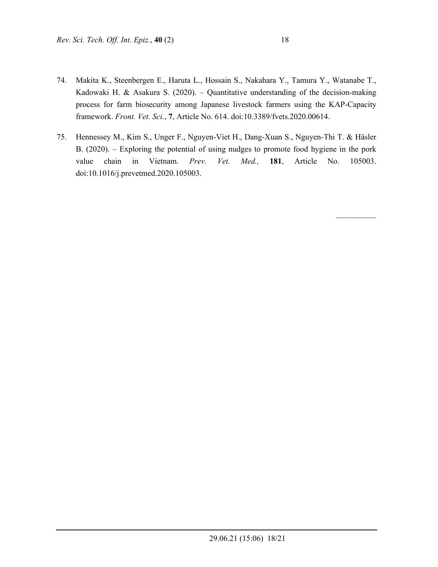- 74. Makita K., Steenbergen E., Haruta L., Hossain S., Nakahara Y., Tamura Y., Watanabe T., Kadowaki H. & Asakura S. (2020). – Quantitative understanding of the decision-making process for farm biosecurity among Japanese livestock farmers using the KAP-Capacity framework. *Front. Vet. Sci.*, **7**, Article No. 614. doi:10.3389/fvets.2020.00614.
- 75. Hennessey M., Kim S., Unger F., Nguyen-Viet H., Dang-Xuan S., Nguyen-Thi T. & Häsler B. (2020). – Exploring the potential of using nudges to promote food hygiene in the pork value chain in Vietnam. *Prev. Vet. Med.,* **181**, Article No. 105003. doi:10.1016/j.prevetmed.2020.105003.

 $\mathcal{L}_\text{max}$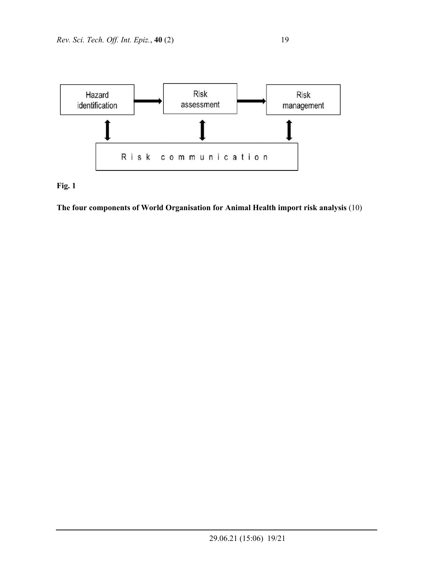



**The four components of World Organisation for Animal Health import risk analysis** (10)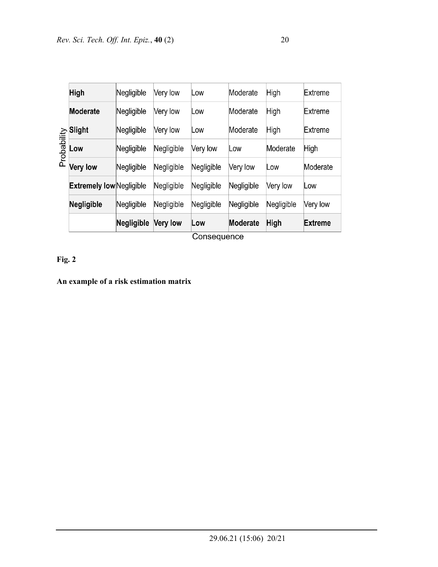|             | $O$ and a distant               |            |                 |            |            |             |                |
|-------------|---------------------------------|------------|-----------------|------------|------------|-------------|----------------|
|             |                                 | Negligible | <b>Very low</b> | Low        | Moderate   | <b>High</b> | <b>Extreme</b> |
| Probability | <b>Negligible</b>               | Negligible | Negligible      | Negligible | Negligible | Negligible  | Very low       |
|             | <b>Extremely low Negligible</b> |            | Negligible      | Negligible | Negligible | Very low    | Low            |
|             | <b>Very low</b>                 | Negligible | Negligible      | Negligible | Very low   | Low         | Moderate       |
|             | Low                             | Negligible | Negligible      | Very low   | Low        | Moderate    | High           |
|             | Slight                          | Negligible | Very low        | Low        | Moderate   | High        | Extreme        |
|             | <b>Moderate</b>                 | Negligible | Very low        | Low        | Moderate   | High        | Extreme        |
|             | <b>High</b>                     | Negligible | Very low        | Low        | Moderate   | High        | Extreme        |
|             |                                 |            |                 |            |            |             |                |

Consequence

## **Fig. 2**

## **An example of a risk estimation matrix**